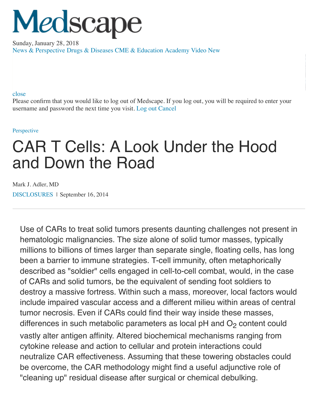# Medscape

[Sunday, January 28, 2018](https://www.medscape.com/) [News & Perspective](https://www.medscape.com/) [Drugs & Diseases](https://reference.medscape.com/) [CME & Education](https://www.medscape.org/) [Academy](https://www.medscape.com/academy/business) [Video](https://www.medscape.com/video) New

### [close](javascript:cancelLogoutMessage();)

Please confirm that you would like to log out of Medscape. If you log out, you will be required to enter your username and password the next time you visit. [Log out](https://login.medscape.com/login/sso/logout?RememberMe=No) [Cancel](javascript:cancelLogoutMessage();)

#### [Perspective](https://www.medscape.com/)

# CAR T Cells: A Look Under the Hood and Down the Road

Mark J. Adler, MD [DISCLOSURES](javascript:showModal() | September 16, 2014

Use of CARs to treat solid tumors presents daunting challenges not present in hematologic malignancies. The size alone of solid tumor masses, typically millions to billions of times larger than separate single, floating cells, has long been a barrier to immune strategies. T-cell immunity, often metaphorically described as "soldier" cells engaged in cell-to-cell combat, would, in the case of CARs and solid tumors, be the equivalent of sending foot soldiers to destroy a massive fortress. Within such a mass, moreover, local factors would include impaired vascular access and a different milieu within areas of central tumor necrosis. Even if CARs could find their way inside these masses, differences in such metabolic parameters as local  $pH$  and  $O<sub>2</sub>$  content could vastly alter antigen affinity. Altered biochemical mechanisms ranging from cytokine release and action to cellular and protein interactions could neutralize CAR effectiveness. Assuming that these towering obstacles could be overcome, the CAR methodology might find a useful adjunctive role of "cleaning up" residual disease after surgical or chemical debulking.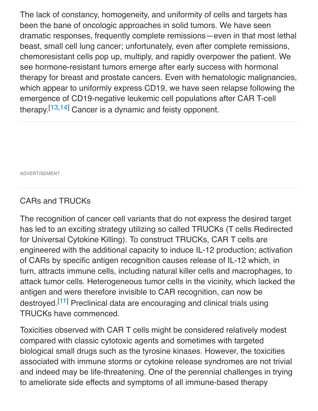The lack of constancy, homogeneity, and uniformity of cells and targets has been the bane of oncologic approaches in solid tumors. We have seen dramatic responses, frequently complete remissions—even in that most lethal beast, small cell lung cancer; unfortunately, even after complete remissions, chemoresistant cells pop up, multiply, and rapidly overpower the patient. We see hormone-resistant tumors emerge after early success with hormonal therapy for breast and prostate cancers. Even with hematologic malignancies, which appear to uniformly express CD19, we have seen relapse following the emergence of CD19-negative leukemic cell populations after CAR T-cell therapy.<sup>[\[13,14](javascript:void(0);)]</sup> Cancer is a dynamic and feisty opponent.

ADVERTISEMENT

## CARs and TRUCKs

The recognition of cancer cell variants that do not express the desired target has led to an exciting strategy utilizing so called TRUCKs (T cells Redirected for Universal Cytokine Killing). To construct TRUCKs, CAR T cells are engineered with the additional capacity to induce IL-12 production; activation of CARs by specific antigen recognition causes release of IL-12 which, in turn, attracts immune cells, including natural killer cells and macrophages, to attack tumor cells. Heterogeneous tumor cells in the vicinity, which lacked the antigen and were therefore invisible to CAR recognition, can now be destroyed.<sup>[[11](javascript:void(0);)]</sup> Preclinical data are encouraging and clinical trials using TRUCKs have commenced.

Toxicities observed with CAR T cells might be considered relatively modest compared with classic cytotoxic agents and sometimes with targeted biological small drugs such as the tyrosine kinases. However, the toxicities associated with immune storms or cytokine release syndromes are not trivial and indeed may be life-threatening. One of the perennial challenges in trying to ameliorate side effects and symptoms of all immune-based therapy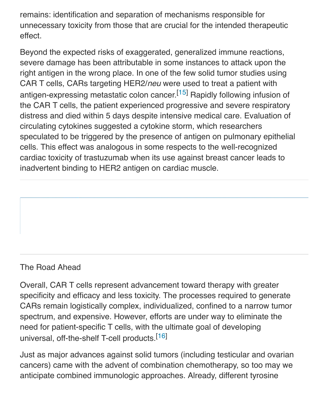remains: identification and separation of mechanisms responsible for unnecessary toxicity from those that are crucial for the intended therapeutic effect.

Beyond the expected risks of exaggerated, generalized immune reactions, severe damage has been attributable in some instances to attack upon the right antigen in the wrong place. In one of the few solid tumor studies using CAR T cells, CARs targeting HER2/*neu* were used to treat a patient with antigen-expressing metastatic colon cancer.<sup>[[15\]](javascript:void(0);)</sup> Rapidly following infusion of the CAR T cells, the patient experienced progressive and severe respiratory distress and died within 5 days despite intensive medical care. Evaluation of circulating cytokines suggested a cytokine storm, which researchers speculated to be triggered by the presence of antigen on pulmonary epithelial cells. This effect was analogous in some respects to the well-recognized cardiac toxicity of trastuzumab when its use against breast cancer leads to inadvertent binding to HER2 antigen on cardiac muscle.

## The Road Ahead

Overall, CAR T cells represent advancement toward therapy with greater specificity and efficacy and less toxicity. The processes required to generate CARs remain logistically complex, individualized, confined to a narrow tumor spectrum, and expensive. However, efforts are under way to eliminate the need for patient-specific T cells, with the ultimate goal of developing universal, off-the-shelf T-cell products.[[16\]](javascript:void(0);)

Just as major advances against solid tumors (including testicular and ovarian cancers) came with the advent of combination chemotherapy, so too may we anticipate combined immunologic approaches. Already, different tyrosine